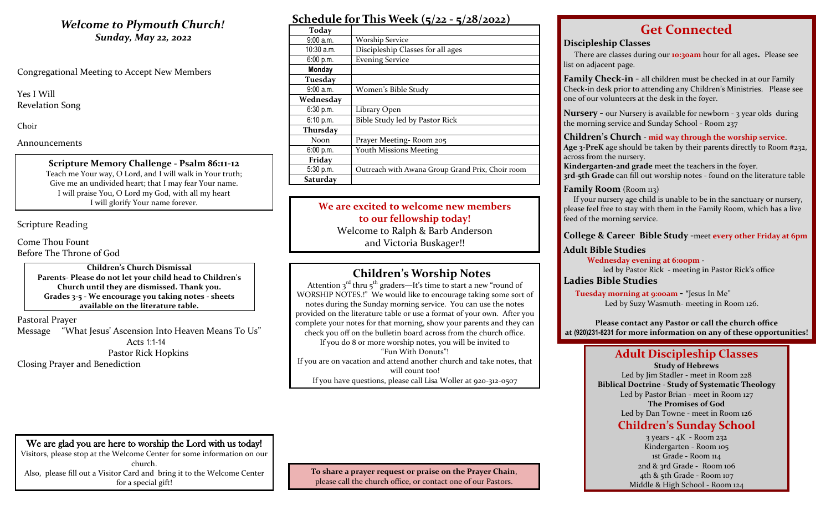# **Welcome to Plymouth Church!** *Sunday, May 22, 2022*

Congregational Meeting to Accept New Members

Yes I Will Revelation Song

Choir

Announcements

**Scripture Memory Challenge - Psalm 86:11-12** Teach me Your way, O Lord, and I will walk in Your truth; Give me an undivided heart; that I may fear Your name. I will praise You, O Lord my God, with all my heart I will glorify Your name forever.

Scripture Reading

Come Thou Fount Before The Throne of God

> **Children's Church Dismissal Parents- Please do not let your child head to Children's Church until they are dismissed. Thank you. Grades 3-5 - We encourage you taking notes - sheets available on the literature table.**

Pastoral Prayer Message "What Jesus' Ascension Into Heaven Means To Us" Acts 1:1-14 Pastor Rick Hopkins Closing Prayer and Benediction

| Schedule for This Week $(5/22 - 5/28/2022)$ |  |
|---------------------------------------------|--|
|                                             |  |

| Today           |                                                  |
|-----------------|--------------------------------------------------|
| 9:00 a.m.       | <b>Worship Service</b>                           |
| $10:30$ a.m.    | Discipleship Classes for all ages                |
| 6:00 p.m.       | <b>Evening Service</b>                           |
| Monday          |                                                  |
| Tuesday         |                                                  |
| 9:00a.m.        | Women's Bible Study                              |
| Wednesdav       |                                                  |
| 6:30 p.m.       | Library Open                                     |
| 6:10 p.m.       | Bible Study led by Pastor Rick                   |
| <b>Thursday</b> |                                                  |
| Noon.           | Prayer Meeting-Room 205                          |
| 6:00 p.m.       | <b>Youth Missions Meeting</b>                    |
| Friday          |                                                  |
| 5:30 p.m.       | Outreach with Awana Group Grand Prix, Choir room |
| Saturday        |                                                  |

**We are excited to welcome new members to our fellowship today!** Welcome to Ralph & Barb Anderson and Victoria Buskager!!

# **Children's Worship Notes**

Attention  $3^{rd}$  thru  $5^{th}$  graders—It's time to start a new "round of WORSHIP NOTES.!" We would like to encourage taking some sort of notes during the Sunday morning service. You can use the notes provided on the literature table or use a format of your own. After you complete your notes for that morning, show your parents and they can check you off on the bulletin board across from the church office. If you do 8 or more worship notes, you will be invited to "Fun With Donuts"! If you are on vacation and attend another church and take notes, that will count too! If you have questions, please call Lisa Woller at 920-312-0507

# **Get Connected**

## **Discipleship Classes**

There are classes during our **10:30am** hour for all ages**.** Please see list on adjacent page.

**Family Check-in -** all children must be checked in at our Family Check-in desk prior to attending any Children's Ministries. Please see one of our volunteers at the desk in the foyer.

**Nursery -** our Nursery is available for newborn - 3 year olds during the morning service and Sunday School - Room 237

**Children's Church** - **mid way through the worship service**.

**Age 3-PreK** age should be taken by their parents directly to Room #232, across from the nursery.

**Kindergarten-2nd grade** meet the teachers in the foyer. **3rd-5th Grade** can fill out worship notes - found on the literature table

## **Family Room** (Room 113)

 If your nursery age child is unable to be in the sanctuary or nursery, please feel free to stay with them in the Family Room, which has a live feed of the morning service.

## **College & Career Bible Study -**meet **every other Friday at 6pm**

## **Adult Bible Studies**

 **Wednesday evening at 6:00pm** led by Pastor Rick - meeting in Pastor Rick's office

**Ladies Bible Studies**

 **Tuesday morning at 9:00am - "**Jesus In Me" Led by Suzy Wasmuth- meeting in Room 126.

**Please contact any Pastor or call the church office at (920)231-8231 for more information on any of these opportunities!**

# **Adult Discipleship Classes**

**Study of Hebrews** Led by Jim Stadler - meet in Room 228 **Biblical Doctrine - Study of Systematic Theology** Led by Pastor Brian - meet in Room 127 **The Promises of God** Led by Dan Towne - meet in Room 126 **Children's Sunday School**

> 3 years - 4K - Room 232 Kindergarten - Room 105 1st Grade - Room 114 2nd & 3rd Grade - Room 106 4th & 5th Grade - Room 107 Middle & High School - Room 124

We are glad you are here to worship the Lord with us today! Visitors, please stop at the Welcome Center for some information on our church. Also, please fill out a Visitor Card and bring it to the Welcome Center for a special gift!

**To share a prayer request or praise on the Prayer Chain**, please call the church office, or contact one of our Pastors.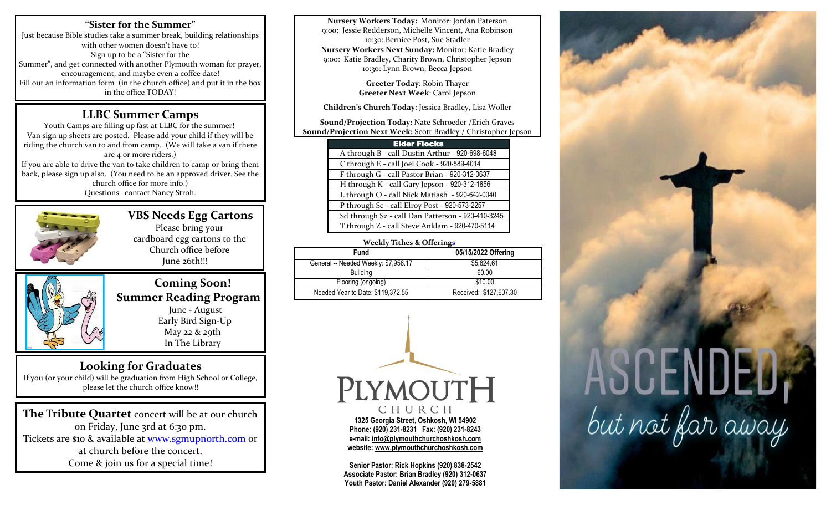## **"Sister for the Summer"**

Just because Bible studies take a summer break, building relationships with other women doesn't have to! Sign up to be a "Sister for the Summer", and get connected with another Plymouth woman for prayer, encouragement, and maybe even a coffee date! Fill out an information form (in the church office) and put it in the box in the office TODAY!

# **LLBC Summer Camps**

Youth Camps are filling up fast at LLBC for the summer! Van sign up sheets are posted. Please add your child if they will be riding the church van to and from camp. (We will take a van if there are 4 or more riders.) If you are able to drive the van to take children to camp or bring them back, please sign up also. (You need to be an approved driver. See the church office for more info.) Questions--contact Nancy Stroh.



 **VBS Needs Egg Cartons** Please bring your cardboard egg cartons to the Church office before June 26th!!!



 **Coming Soon! Summer Reading Program** June - August Early Bird Sign-Up May 22 & 29th In The Library

# **Looking for Graduates**

If you (or your child) will be graduation from High School or College, please let the church office know!!

**The Tribute Quartet** concert will be at our church on Friday, June 3rd at 6:30 pm. Tickets are \$10 & available at [www.sgmupnorth.com](http://www.sgmupnorth.com/) or at church before the concert. Come & join us for a special time!

**Nursery Workers Today:** Monitor: Jordan Paterson 9:00: Jessie Redderson, Michelle Vincent, Ana Robinson 10:30: Bernice Post, Sue Stadler **Nursery Workers Next Sunday:** Monitor: Katie Bradley 9:00: Katie Bradley, Charity Brown, Christopher Jepson 10:30: Lynn Brown, Becca Jepson

> **Greeter Today**: Robin Thayer **Greeter Next Week**: Carol Jepson

**Children's Church Today**: Jessica Bradley, Lisa Woller

**Sound/Projection Today:** Nate Schroeder /Erich Graves **Sound/Projection Next Week:** Scott Bradley / Christopher Jepson

| <b>Elder Flocks</b>                               |  |  |
|---------------------------------------------------|--|--|
| A through B - call Dustin Arthur - 920-698-6048   |  |  |
| C through E - call Joel Cook - 920-589-4014       |  |  |
| F through G - call Pastor Brian - 920-312-0637    |  |  |
| H through K - call Gary Jepson - 920-312-1856     |  |  |
| L through O - call Nick Matiash - 920-642-0040    |  |  |
| P through Sc - call Elroy Post - 920-573-2257     |  |  |
| Sd through Sz - call Dan Patterson - 920-410-3245 |  |  |
| T through Z - call Steve Anklam - 920-470-5114    |  |  |

### **Weekly Tithes & Offerings**

| 05/15/2022 Offering    |  |  |
|------------------------|--|--|
| \$5.824.61             |  |  |
| 60.00                  |  |  |
| \$10.00                |  |  |
| Received: \$127,607.30 |  |  |
|                        |  |  |



**Senior Pastor: Rick Hopkins (920) 838-2542 Associate Pastor: Brian Bradley (920) 312-0637 Youth Pastor: Daniel Alexander (920) 279-5881**